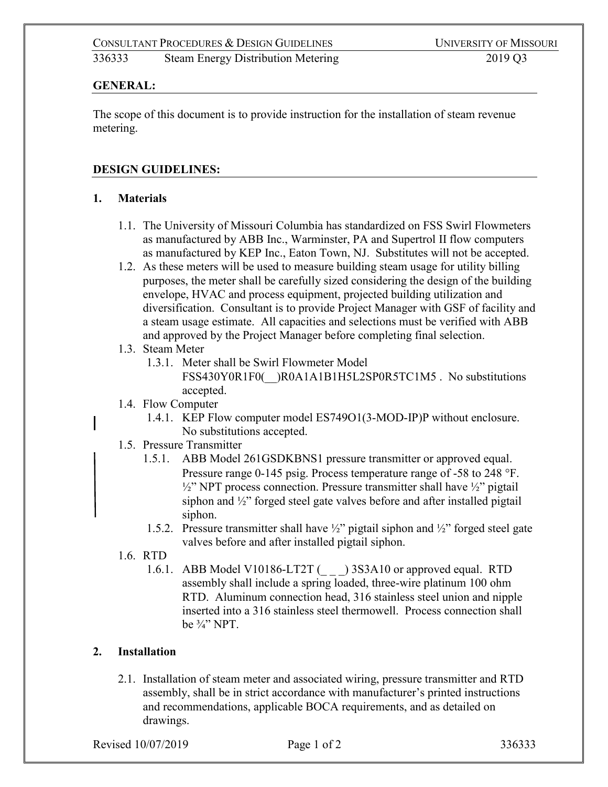## **GENERAL:**

The scope of this document is to provide instruction for the installation of steam revenue metering.

## **DESIGN GUIDELINES:**

#### **1. Materials**

- 1.1. The University of Missouri Columbia has standardized on FSS Swirl Flowmeters as manufactured by ABB Inc., Warminster, PA and Supertrol II flow computers as manufactured by KEP Inc., Eaton Town, NJ. Substitutes will not be accepted.
- 1.2. As these meters will be used to measure building steam usage for utility billing purposes, the meter shall be carefully sized considering the design of the building envelope, HVAC and process equipment, projected building utilization and diversification. Consultant is to provide Project Manager with GSF of facility and a steam usage estimate. All capacities and selections must be verified with ABB and approved by the Project Manager before completing final selection.

#### 1.3. Steam Meter

- 1.3.1. Meter shall be Swirl Flowmeter Model FSS430Y0R1F0( )R0A1A1B1H5L2SP0R5TC1M5 . No substitutions accepted.
- 1.4. Flow Computer
	- 1.4.1. KEP Flow computer model ES749O1(3-MOD-IP)P without enclosure. No substitutions accepted.
- 1.5. Pressure Transmitter
	- 1.5.1. ABB Model 261GSDKBNS1 pressure transmitter or approved equal. Pressure range 0-145 psig. Process temperature range of -58 to 248 °F.  $\frac{1}{2}$ " NPT process connection. Pressure transmitter shall have  $\frac{1}{2}$ " pigtail siphon and ½" forged steel gate valves before and after installed pigtail siphon.
	- 1.5.2. Pressure transmitter shall have  $\frac{1}{2}$ " pigtail siphon and  $\frac{1}{2}$ " forged steel gate valves before and after installed pigtail siphon.
- 1.6. RTD
	- 1.6.1. ABB Model V10186-LT2T () 3S3A10 or approved equal. RTD assembly shall include a spring loaded, three-wire platinum 100 ohm RTD. Aluminum connection head, 316 stainless steel union and nipple inserted into a 316 stainless steel thermowell. Process connection shall be ¾" NPT.

# **2. Installation**

2.1. Installation of steam meter and associated wiring, pressure transmitter and RTD assembly, shall be in strict accordance with manufacturer's printed instructions and recommendations, applicable BOCA requirements, and as detailed on drawings.

Revised 10/07/2019 **Page 1 of 2** 336333